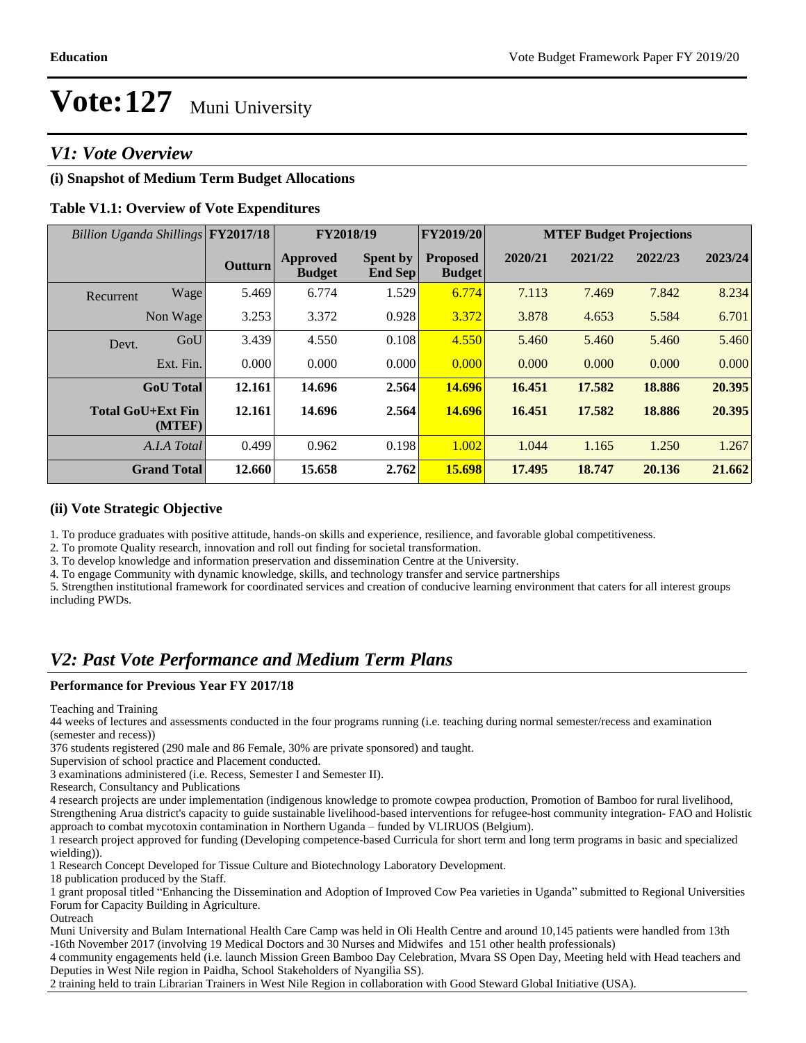### *V1: Vote Overview*

#### **(i) Snapshot of Medium Term Budget Allocations**

#### **Table V1.1: Overview of Vote Expenditures**

| Billion Uganda Shillings FY2017/18 |                    |                | FY2018/19                 |                                   | FY2019/20                        |         |         | <b>MTEF Budget Projections</b> |         |
|------------------------------------|--------------------|----------------|---------------------------|-----------------------------------|----------------------------------|---------|---------|--------------------------------|---------|
|                                    |                    | <b>Outturn</b> | Approved<br><b>Budget</b> | <b>Spent by</b><br><b>End Sep</b> | <b>Proposed</b><br><b>Budget</b> | 2020/21 | 2021/22 | 2022/23                        | 2023/24 |
| Recurrent                          | Wage               | 5.469          | 6.774                     | 1.529                             | 6.774                            | 7.113   | 7.469   | 7.842                          | 8.234   |
|                                    | Non Wage           | 3.253          | 3.372                     | 0.928                             | 3.372                            | 3.878   | 4.653   | 5.584                          | 6.701   |
| Devt.                              | GoU                | 3.439          | 4.550                     | 0.108                             | 4.550                            | 5.460   | 5.460   | 5.460                          | 5.460   |
|                                    | Ext. Fin.          | 0.000          | 0.000                     | 0.000                             | 0.000                            | 0.000   | 0.000   | 0.000                          | 0.000   |
|                                    | <b>GoU</b> Total   | 12.161         | 14.696                    | 2.564                             | 14.696                           | 16.451  | 17.582  | 18.886                         | 20.395  |
| <b>Total GoU+Ext Fin</b>           | (MTEF)             | 12.161         | 14.696                    | 2.564                             | 14.696                           | 16.451  | 17.582  | 18.886                         | 20.395  |
|                                    | A.I.A Total        | 0.499          | 0.962                     | 0.198                             | 1.002                            | 1.044   | 1.165   | 1.250                          | 1.267   |
|                                    | <b>Grand Total</b> | 12.660         | 15.658                    | 2.762                             | 15.698                           | 17.495  | 18.747  | 20.136                         | 21.662  |

#### **(ii) Vote Strategic Objective**

1. To produce graduates with positive attitude, hands-on skills and experience, resilience, and favorable global competitiveness.

2. To promote Quality research, innovation and roll out finding for societal transformation.

3. To develop knowledge and information preservation and dissemination Centre at the University.

4. To engage Community with dynamic knowledge, skills, and technology transfer and service partnerships

5. Strengthen institutional framework for coordinated services and creation of conducive learning environment that caters for all interest groups including PWDs.

### *V2: Past Vote Performance and Medium Term Plans*

#### **Performance for Previous Year FY 2017/18**

Teaching and Training

44 weeks of lectures and assessments conducted in the four programs running (i.e. teaching during normal semester/recess and examination (semester and recess))

376 students registered (290 male and 86 Female, 30% are private sponsored) and taught.

Supervision of school practice and Placement conducted.

3 examinations administered (i.e. Recess, Semester I and Semester II).

Research, Consultancy and Publications

4 research projects are under implementation (indigenous knowledge to promote cowpea production, Promotion of Bamboo for rural livelihood, Strengthening Arua district's capacity to guide sustainable livelihood-based interventions for refugee-host community integration- FAO and Holistic approach to combat mycotoxin contamination in Northern Uganda - funded by VLIRUOS (Belgium).

1 research project approved for funding (Developing competence-based Curricula for short term and long term programs in basic and specialized wielding)).

1 Research Concept Developed for Tissue Culture and Biotechnology Laboratory Development.

18 publication produced by the Staff.

1 grant proposal titled "Enhancing the Dissemination and Adoption of Improved Cow Pea varieties in Uganda" submitted to Regional Universities Forum for Capacity Building in Agriculture.

**Outreach** 

Muni University and Bulam International Health Care Camp was held in Oli Health Centre and around 10,145 patients were handled from 13th -16th November 2017 (involving 19 Medical Doctors and 30 Nurses and Midwifes and 151 other health professionals)

4 community engagements held (i.e. launch Mission Green Bamboo Day Celebration, Mvara SS Open Day, Meeting held with Head teachers and Deputies in West Nile region in Paidha, School Stakeholders of Nyangilia SS).

2 training held to train Librarian Trainers in West Nile Region in collaboration with Good Steward Global Initiative (USA).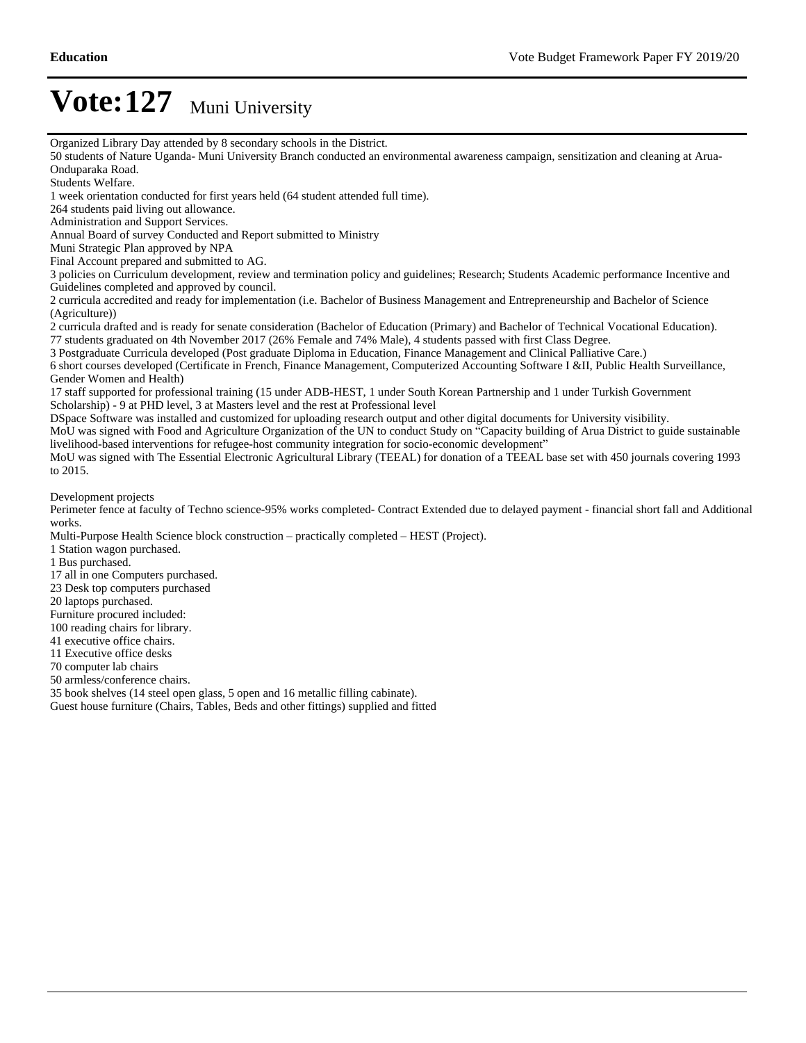Organized Library Day attended by 8 secondary schools in the District.

50 students of Nature Uganda- Muni University Branch conducted an environmental awareness campaign, sensitization and cleaning at Arua-Onduparaka Road.

Students Welfare.

1 week orientation conducted for first years held (64 student attended full time).

264 students paid living out allowance.

Administration and Support Services.

Annual Board of survey Conducted and Report submitted to Ministry

Muni Strategic Plan approved by NPA

Final Account prepared and submitted to AG.

3 policies on Curriculum development, review and termination policy and guidelines; Research; Students Academic performance Incentive and Guidelines completed and approved by council.

2 curricula accredited and ready for implementation (i.e. Bachelor of Business Management and Entrepreneurship and Bachelor of Science (Agriculture))

2 curricula drafted and is ready for senate consideration (Bachelor of Education (Primary) and Bachelor of Technical Vocational Education). 77 students graduated on 4th November 2017 (26% Female and 74% Male), 4 students passed with first Class Degree.

3 Postgraduate Curricula developed (Post graduate Diploma in Education, Finance Management and Clinical Palliative Care.)

6 short courses developed (Certificate in French, Finance Management, Computerized Accounting Software I &II, Public Health Surveillance, Gender Women and Health)

17 staff supported for professional training (15 under ADB-HEST, 1 under South Korean Partnership and 1 under Turkish Government Scholarship) - 9 at PHD level, 3 at Masters level and the rest at Professional level

DSpace Software was installed and customized for uploading research output and other digital documents for University visibility.

MoU was signed with Food and Agriculture Organization of the UN to conduct Study on "Capacity building of Arua District to guide sustainable livelihood-based interventions for refugee-host community integration for socio-economic development"

MoU was signed with The Essential Electronic Agricultural Library (TEEAL) for donation of a TEEAL base set with 450 journals covering 1993 to 2015.

Development projects

Perimeter fence at faculty of Techno science-95% works completed- Contract Extended due to delayed payment - financial short fall and Additional works.

Multi-Purpose Health Science block construction - practically completed - HEST (Project).

1 Station wagon purchased.

1 Bus purchased.

- 17 all in one Computers purchased.
- 23 Desk top computers purchased

20 laptops purchased.

Furniture procured included:

100 reading chairs for library.

41 executive office chairs.

11 Executive office desks

70 computer lab chairs

50 armless/conference chairs.

35 book shelves (14 steel open glass, 5 open and 16 metallic filling cabinate). Guest house furniture (Chairs, Tables, Beds and other fittings) supplied and fitted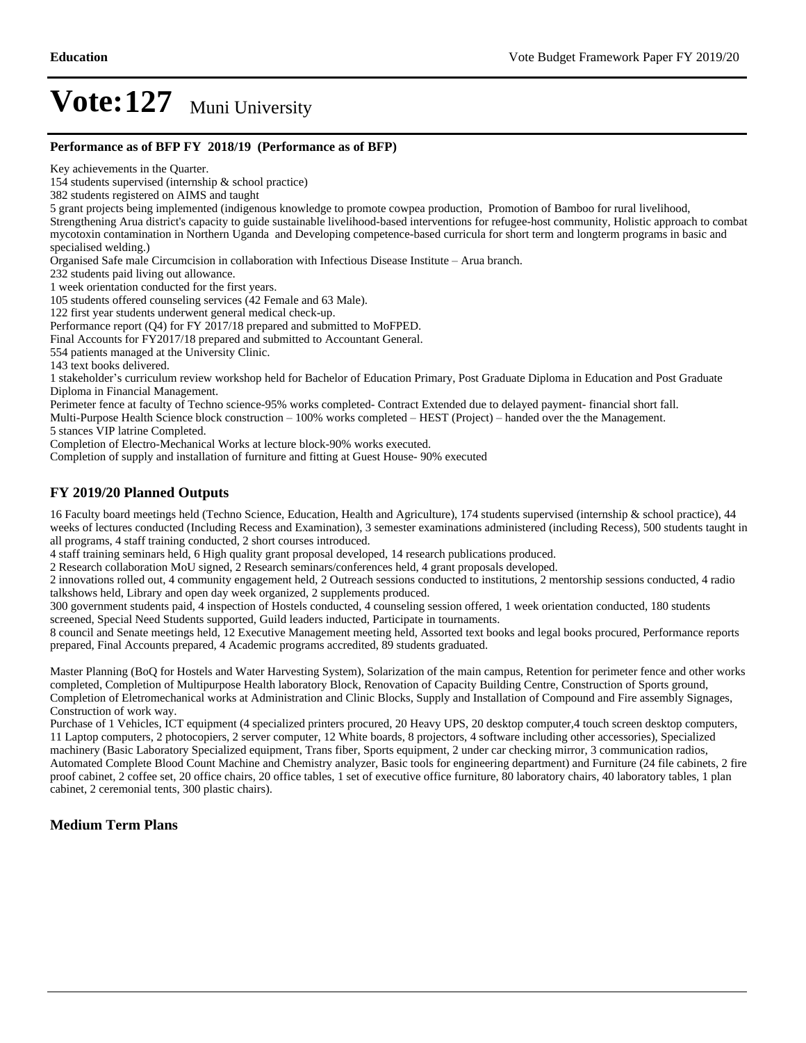#### **Performance as of BFP FY 2018/19 (Performance as of BFP)**

Key achievements in the Quarter.

154 students supervised (internship & school practice)

382 students registered on AIMS and taught

5 grant projects being implemented (indigenous knowledge to promote cowpea production, Promotion of Bamboo for rural livelihood,

Strengthening Arua district's capacity to guide sustainable livelihood-based interventions for refugee-host community, Holistic approach to combat mycotoxin contamination in Northern Uganda and Developing competence-based curricula for short term and longterm programs in basic and specialised welding.)

Organised Safe male Circumcision in collaboration with Infectious Disease Institute - Arua branch.

232 students paid living out allowance.

1 week orientation conducted for the first years.

105 students offered counseling services (42 Female and 63 Male).

122 first year students underwent general medical check-up.

Performance report (Q4) for FY 2017/18 prepared and submitted to MoFPED.

Final Accounts for FY2017/18 prepared and submitted to Accountant General.

554 patients managed at the University Clinic.

143 text books delivered.

1 stakeholder's curriculum review workshop held for Bachelor of Education Primary, Post Graduate Diploma in Education and Post Graduate Diploma in Financial Management.

Perimeter fence at faculty of Techno science-95% works completed- Contract Extended due to delayed payment- financial short fall.

Multi-Purpose Health Science block construction  $-100\%$  works completed  $-$  HEST (Project)  $-$  handed over the the Management.

5 stances VIP latrine Completed.

Completion of Electro-Mechanical Works at lecture block-90% works executed.

Completion of supply and installation of furniture and fitting at Guest House- 90% executed

#### **FY 2019/20 Planned Outputs**

16 Faculty board meetings held (Techno Science, Education, Health and Agriculture), 174 students supervised (internship & school practice), 44 weeks of lectures conducted (Including Recess and Examination), 3 semester examinations administered (including Recess), 500 students taught in all programs, 4 staff training conducted, 2 short courses introduced.

4 staff training seminars held, 6 High quality grant proposal developed, 14 research publications produced.

2 Research collaboration MoU signed, 2 Research seminars/conferences held, 4 grant proposals developed.

2 innovations rolled out, 4 community engagement held, 2 Outreach sessions conducted to institutions, 2 mentorship sessions conducted, 4 radio talkshows held, Library and open day week organized, 2 supplements produced.

300 government students paid, 4 inspection of Hostels conducted, 4 counseling session offered, 1 week orientation conducted, 180 students screened, Special Need Students supported, Guild leaders inducted, Participate in tournaments.

8 council and Senate meetings held, 12 Executive Management meeting held, Assorted text books and legal books procured, Performance reports prepared, Final Accounts prepared, 4 Academic programs accredited, 89 students graduated.

Master Planning (BoQ for Hostels and Water Harvesting System), Solarization of the main campus, Retention for perimeter fence and other works completed, Completion of Multipurpose Health laboratory Block, Renovation of Capacity Building Centre, Construction of Sports ground, Completion of Eletromechanical works at Administration and Clinic Blocks, Supply and Installation of Compound and Fire assembly Signages, Construction of work way.

Purchase of 1 Vehicles, ICT equipment (4 specialized printers procured, 20 Heavy UPS, 20 desktop computer,4 touch screen desktop computers, 11 Laptop computers, 2 photocopiers, 2 server computer, 12 White boards, 8 projectors, 4 software including other accessories), Specialized machinery (Basic Laboratory Specialized equipment, Trans fiber, Sports equipment, 2 under car checking mirror, 3 communication radios, Automated Complete Blood Count Machine and Chemistry analyzer, Basic tools for engineering department) and Furniture (24 file cabinets, 2 fire proof cabinet, 2 coffee set, 20 office chairs, 20 office tables, 1 set of executive office furniture, 80 laboratory chairs, 40 laboratory tables, 1 plan cabinet, 2 ceremonial tents, 300 plastic chairs).

#### **Medium Term Plans**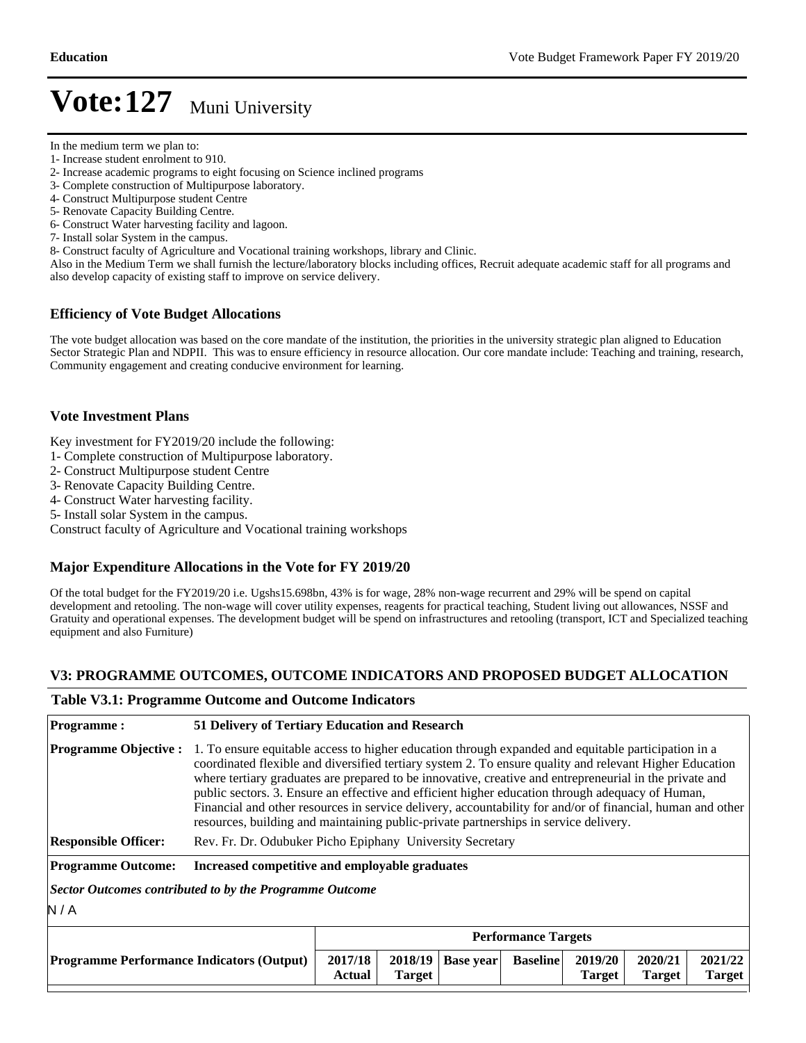- 1- Increase student enrolment to 910.
- 2- Increase academic programs to eight focusing on Science inclined programs
- 3- Complete construction of Multipurpose laboratory.
- 4- Construct Multipurpose student Centre
- 5- Renovate Capacity Building Centre.
- 6- Construct Water harvesting facility and lagoon.
- 7- Install solar System in the campus.
- 8- Construct faculty of Agriculture and Vocational training workshops, library and Clinic.

Also in the Medium Term we shall furnish the lecture/laboratory blocks including offices, Recruit adequate academic staff for all programs and also develop capacity of existing staff to improve on service delivery.

#### **Efficiency of Vote Budget Allocations**

The vote budget allocation was based on the core mandate of the institution, the priorities in the university strategic plan aligned to Education Sector Strategic Plan and NDPII. This was to ensure efficiency in resource allocation. Our core mandate include: Teaching and training, research, Community engagement and creating conducive environment for learning.

#### **Vote Investment Plans**

Key investment for FY2019/20 include the following:

- 1- Complete construction of Multipurpose laboratory.
- 2- Construct Multipurpose student Centre
- 3- Renovate Capacity Building Centre.
- 4- Construct Water harvesting facility.
- 5- Install solar System in the campus.

Construct faculty of Agriculture and Vocational training workshops

#### **Major Expenditure Allocations in the Vote for FY 2019/20**

Of the total budget for the FY2019/20 i.e. Ugshs15.698bn, 43% is for wage, 28% non-wage recurrent and 29% will be spend on capital development and retooling. The non-wage will cover utility expenses, reagents for practical teaching, Student living out allowances, NSSF and Gratuity and operational expenses. The development budget will be spend on infrastructures and retooling (transport, ICT and Specialized teaching equipment and also Furniture)

#### **V3: PROGRAMME OUTCOMES, OUTCOME INDICATORS AND PROPOSED BUDGET ALLOCATION**

#### **Table V3.1: Programme Outcome and Outcome Indicators**

| <b>Programme:</b>                                                                                                            | 51 Delivery of Tertiary Education and Research                                                                                                                                                                                                                                                                                                                                                                                                                                                                                                                                                                                      |  |  |  |  |  |         |
|------------------------------------------------------------------------------------------------------------------------------|-------------------------------------------------------------------------------------------------------------------------------------------------------------------------------------------------------------------------------------------------------------------------------------------------------------------------------------------------------------------------------------------------------------------------------------------------------------------------------------------------------------------------------------------------------------------------------------------------------------------------------------|--|--|--|--|--|---------|
| <b>Programme Objective:</b>                                                                                                  | 1. To ensure equitable access to higher education through expanded and equitable participation in a<br>coordinated flexible and diversified tertiary system 2. To ensure quality and relevant Higher Education<br>where tertiary graduates are prepared to be innovative, creative and entrepreneurial in the private and<br>public sectors. 3. Ensure an effective and efficient higher education through adequacy of Human,<br>Financial and other resources in service delivery, accountability for and/or of financial, human and other<br>resources, building and maintaining public-private partnerships in service delivery. |  |  |  |  |  |         |
| <b>Responsible Officer:</b>                                                                                                  | Rev. Fr. Dr. Odubuker Picho Epiphany University Secretary                                                                                                                                                                                                                                                                                                                                                                                                                                                                                                                                                                           |  |  |  |  |  |         |
| <b>Programme Outcome:</b>                                                                                                    | Increased competitive and employable graduates                                                                                                                                                                                                                                                                                                                                                                                                                                                                                                                                                                                      |  |  |  |  |  |         |
| Sector Outcomes contributed to by the Programme Outcome                                                                      |                                                                                                                                                                                                                                                                                                                                                                                                                                                                                                                                                                                                                                     |  |  |  |  |  |         |
| N/A                                                                                                                          |                                                                                                                                                                                                                                                                                                                                                                                                                                                                                                                                                                                                                                     |  |  |  |  |  |         |
|                                                                                                                              | <b>Performance Targets</b>                                                                                                                                                                                                                                                                                                                                                                                                                                                                                                                                                                                                          |  |  |  |  |  |         |
| 2017/18<br>2020/21<br>2018/19<br>2019/20<br><b>Baseline</b><br>Base year<br><b>Programme Performance Indicators (Output)</b> |                                                                                                                                                                                                                                                                                                                                                                                                                                                                                                                                                                                                                                     |  |  |  |  |  | 2021/22 |

**Target** 

**Target** 

**Target** 

**Target** 

**Actual** 

In the medium term we plan to: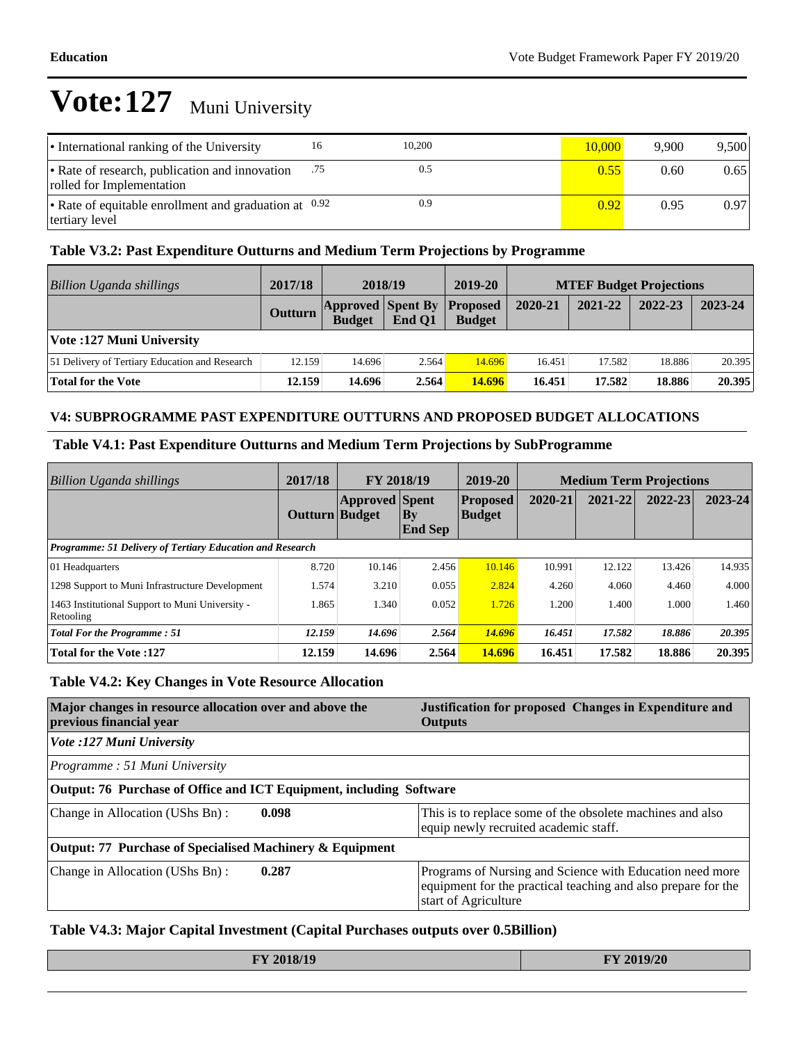| • International ranking of the University                                   | 16  | 10,200 | 10.000 | 9.900 | 9.500 |
|-----------------------------------------------------------------------------|-----|--------|--------|-------|-------|
| • Rate of research, publication and innovation<br>rolled for Implementation | .75 | 0.5    | 0.55   | 0.60  | 0.65  |
| • Rate of equitable enrollment and graduation at $0.92$<br>tertiary level   |     | 0.9    | 0.92   | 0.95  | 0.97  |

#### **Table V3.2: Past Expenditure Outturns and Medium Term Projections by Programme**

| Billion Uganda shillings                       | 2017/18 | 2018/19                                            |        | 2019-20       | <b>MTEF Budget Projections</b> |         |         |         |
|------------------------------------------------|---------|----------------------------------------------------|--------|---------------|--------------------------------|---------|---------|---------|
|                                                | Outturn | <b>Approved Spent By Proposed</b><br><b>Budget</b> | End O1 | <b>Budget</b> | 2020-21                        | 2021-22 | 2022-23 | 2023-24 |
| Vote: 127 Muni University                      |         |                                                    |        |               |                                |         |         |         |
| 51 Delivery of Tertiary Education and Research | 12.159  | 14.696                                             | 2.564  | 14.696        | 16.451                         | 17.582  | 18.886  | 20.395  |
| Total for the Vote                             | 12.159  | 14.696                                             | 2.564  | 14.696        | 16.451                         | 17.582  | 18.886  | 20.395  |

#### **V4: SUBPROGRAMME PAST EXPENDITURE OUTTURNS AND PROPOSED BUDGET ALLOCATIONS**

#### **Table V4.1: Past Expenditure Outturns and Medium Term Projections by SubProgramme**

| Billion Uganda shillings                                     | 2017/18        | FY 2018/19            |                                  | 2019-20                          | <b>Medium Term Projections</b> |         |         |         |
|--------------------------------------------------------------|----------------|-----------------------|----------------------------------|----------------------------------|--------------------------------|---------|---------|---------|
|                                                              | Outturn Budget | <b>Approved</b> Spent | $\mathbf{B}$ y<br><b>End Sep</b> | <b>Proposed</b><br><b>Budget</b> | 2020-21                        | 2021-22 | 2022-23 | 2023-24 |
| Programme: 51 Delivery of Tertiary Education and Research    |                |                       |                                  |                                  |                                |         |         |         |
| 01 Headquarters                                              | 8.720          | 10.146                | 2.456                            | 10.146                           | 10.991                         | 12.122  | 13.426  | 14.935  |
| 1298 Support to Muni Infrastructure Development              | 1.574          | 3.210                 | 0.055                            | 2.824                            | 4.260                          | 4.060   | 4.460   | 4.000   |
| 1463 Institutional Support to Muni University -<br>Retooling | 1.865          | 1.340                 | 0.052                            | 1.726                            | 1.200                          | 1.400   | 1.000   | 1.460   |
| <b>Total For the Programme: 51</b>                           | 12.159         | 14.696                | 2.564                            | 14.696                           | 16.451                         | 17.582  | 18.886  | 20.395  |
| <b>Total for the Vote:127</b>                                | 12.159         | 14.696                | 2.564                            | 14.696                           | 16.451                         | 17.582  | 18.886  | 20.395  |

#### **Table V4.2: Key Changes in Vote Resource Allocation**

| Major changes in resource allocation over and above the<br>previous financial year | Justification for proposed Changes in Expenditure and<br><b>Outputs</b>                                                                           |
|------------------------------------------------------------------------------------|---------------------------------------------------------------------------------------------------------------------------------------------------|
| Vote :127 Muni University                                                          |                                                                                                                                                   |
| $Programme: 51$ Muni University                                                    |                                                                                                                                                   |
| Output: 76 Purchase of Office and ICT Equipment, including Software                |                                                                                                                                                   |
| Change in Allocation (UShs Bn):<br>0.098                                           | This is to replace some of the obsolete machines and also<br>equip newly recruited academic staff.                                                |
| Output: 77 Purchase of Specialised Machinery & Equipment                           |                                                                                                                                                   |
| 0.287<br>Change in Allocation (UShs Bn):                                           | Programs of Nursing and Science with Education need more<br>equipment for the practical teaching and also prepare for the<br>start of Agriculture |

#### **Table V4.3: Major Capital Investment (Capital Purchases outputs over 0.5Billion)**

| FY 2018/19 | FY 2019/20 |
|------------|------------|
|            |            |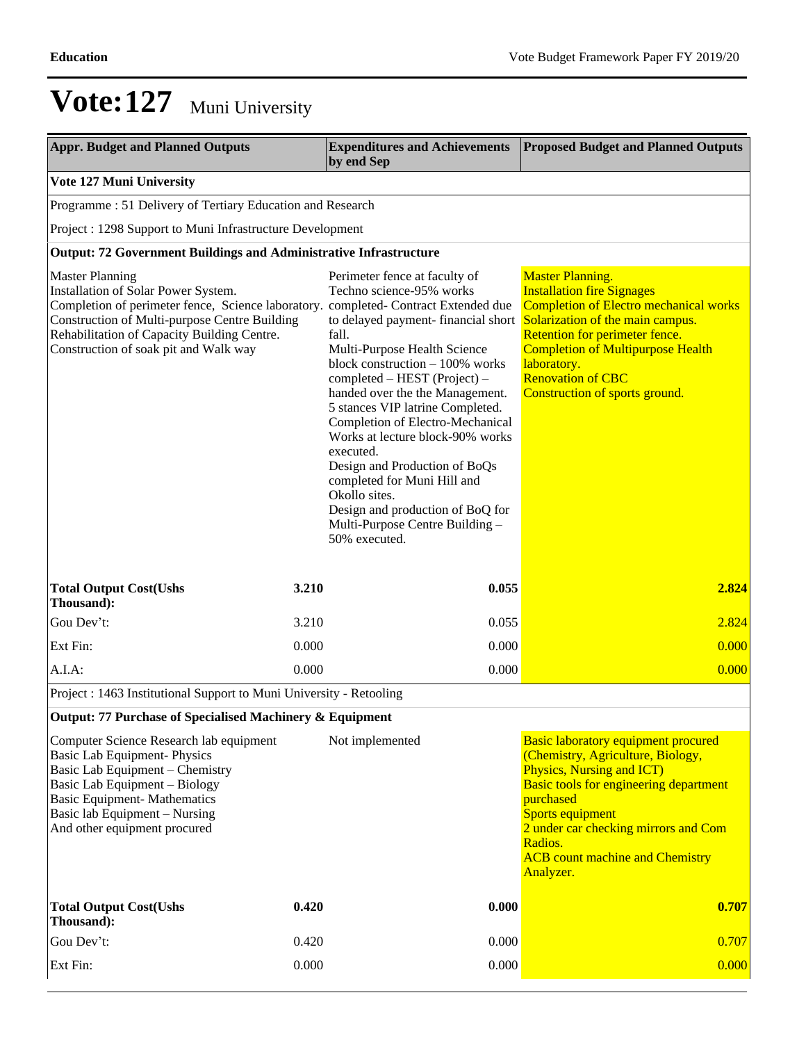| <b>Appr. Budget and Planned Outputs</b>                                                                                                                                                                                                                                                       |       | <b>Expenditures and Achievements</b><br>by end Sep                                                                                                                                                                                                                                                                                                                                                                                                                                                                                               | <b>Proposed Budget and Planned Outputs</b>                                                                                                                                                                                                                                                                          |
|-----------------------------------------------------------------------------------------------------------------------------------------------------------------------------------------------------------------------------------------------------------------------------------------------|-------|--------------------------------------------------------------------------------------------------------------------------------------------------------------------------------------------------------------------------------------------------------------------------------------------------------------------------------------------------------------------------------------------------------------------------------------------------------------------------------------------------------------------------------------------------|---------------------------------------------------------------------------------------------------------------------------------------------------------------------------------------------------------------------------------------------------------------------------------------------------------------------|
| Vote 127 Muni University                                                                                                                                                                                                                                                                      |       |                                                                                                                                                                                                                                                                                                                                                                                                                                                                                                                                                  |                                                                                                                                                                                                                                                                                                                     |
| Programme: 51 Delivery of Tertiary Education and Research                                                                                                                                                                                                                                     |       |                                                                                                                                                                                                                                                                                                                                                                                                                                                                                                                                                  |                                                                                                                                                                                                                                                                                                                     |
| Project : 1298 Support to Muni Infrastructure Development                                                                                                                                                                                                                                     |       |                                                                                                                                                                                                                                                                                                                                                                                                                                                                                                                                                  |                                                                                                                                                                                                                                                                                                                     |
| <b>Output: 72 Government Buildings and Administrative Infrastructure</b>                                                                                                                                                                                                                      |       |                                                                                                                                                                                                                                                                                                                                                                                                                                                                                                                                                  |                                                                                                                                                                                                                                                                                                                     |
| <b>Master Planning</b><br>Installation of Solar Power System.<br>Completion of perimeter fence, Science laboratory. completed- Contract Extended due<br>Construction of Multi-purpose Centre Building<br>Rehabilitation of Capacity Building Centre.<br>Construction of soak pit and Walk way |       | Perimeter fence at faculty of<br>Techno science-95% works<br>to delayed payment-financial short<br>fall.<br>Multi-Purpose Health Science<br>block construction - 100% works<br>completed – HEST (Project) –<br>handed over the the Management.<br>5 stances VIP latrine Completed.<br>Completion of Electro-Mechanical<br>Works at lecture block-90% works<br>executed.<br>Design and Production of BoQs<br>completed for Muni Hill and<br>Okollo sites.<br>Design and production of BoQ for<br>Multi-Purpose Centre Building -<br>50% executed. | <b>Master Planning.</b><br><b>Installation fire Signages</b><br><b>Completion of Electro mechanical works</b><br>Solarization of the main campus.<br>Retention for perimeter fence.<br><b>Completion of Multipurpose Health</b><br>laboratory.<br><b>Renovation of CBC</b><br><b>Construction of sports ground.</b> |
| <b>Total Output Cost(Ushs</b><br>Thousand):                                                                                                                                                                                                                                                   | 3.210 | 0.055                                                                                                                                                                                                                                                                                                                                                                                                                                                                                                                                            | 2.824                                                                                                                                                                                                                                                                                                               |
| Gou Dev't:                                                                                                                                                                                                                                                                                    | 3.210 | 0.055                                                                                                                                                                                                                                                                                                                                                                                                                                                                                                                                            | 2.824                                                                                                                                                                                                                                                                                                               |
| Ext Fin:                                                                                                                                                                                                                                                                                      | 0.000 | 0.000                                                                                                                                                                                                                                                                                                                                                                                                                                                                                                                                            | 0.000                                                                                                                                                                                                                                                                                                               |
| A.I.A.                                                                                                                                                                                                                                                                                        | 0.000 | 0.000                                                                                                                                                                                                                                                                                                                                                                                                                                                                                                                                            | 0.000                                                                                                                                                                                                                                                                                                               |
| Project : 1463 Institutional Support to Muni University - Retooling                                                                                                                                                                                                                           |       |                                                                                                                                                                                                                                                                                                                                                                                                                                                                                                                                                  |                                                                                                                                                                                                                                                                                                                     |
| Output: 77 Purchase of Specialised Machinery & Equipment                                                                                                                                                                                                                                      |       |                                                                                                                                                                                                                                                                                                                                                                                                                                                                                                                                                  |                                                                                                                                                                                                                                                                                                                     |
| Computer Science Research lab equipment<br><b>Basic Lab Equipment-Physics</b><br>Basic Lab Equipment - Chemistry<br>Basic Lab Equipment - Biology<br><b>Basic Equipment- Mathematics</b><br>Basic lab Equipment - Nursing<br>And other equipment procured                                     |       | Not implemented                                                                                                                                                                                                                                                                                                                                                                                                                                                                                                                                  | <b>Basic laboratory equipment procured</b><br>(Chemistry, Agriculture, Biology,<br><b>Physics, Nursing and ICT)</b><br><b>Basic tools for engineering department</b><br>purchased<br>Sports equipment<br>2 under car checking mirrors and Com<br>Radios.<br><b>ACB</b> count machine and Chemistry<br>Analyzer.     |
| <b>Total Output Cost(Ushs</b><br>Thousand):                                                                                                                                                                                                                                                   | 0.420 | 0.000                                                                                                                                                                                                                                                                                                                                                                                                                                                                                                                                            | 0.707                                                                                                                                                                                                                                                                                                               |
| Gou Dev't:                                                                                                                                                                                                                                                                                    | 0.420 | 0.000                                                                                                                                                                                                                                                                                                                                                                                                                                                                                                                                            | 0.707                                                                                                                                                                                                                                                                                                               |
| Ext Fin:                                                                                                                                                                                                                                                                                      | 0.000 | 0.000                                                                                                                                                                                                                                                                                                                                                                                                                                                                                                                                            | 0.000                                                                                                                                                                                                                                                                                                               |